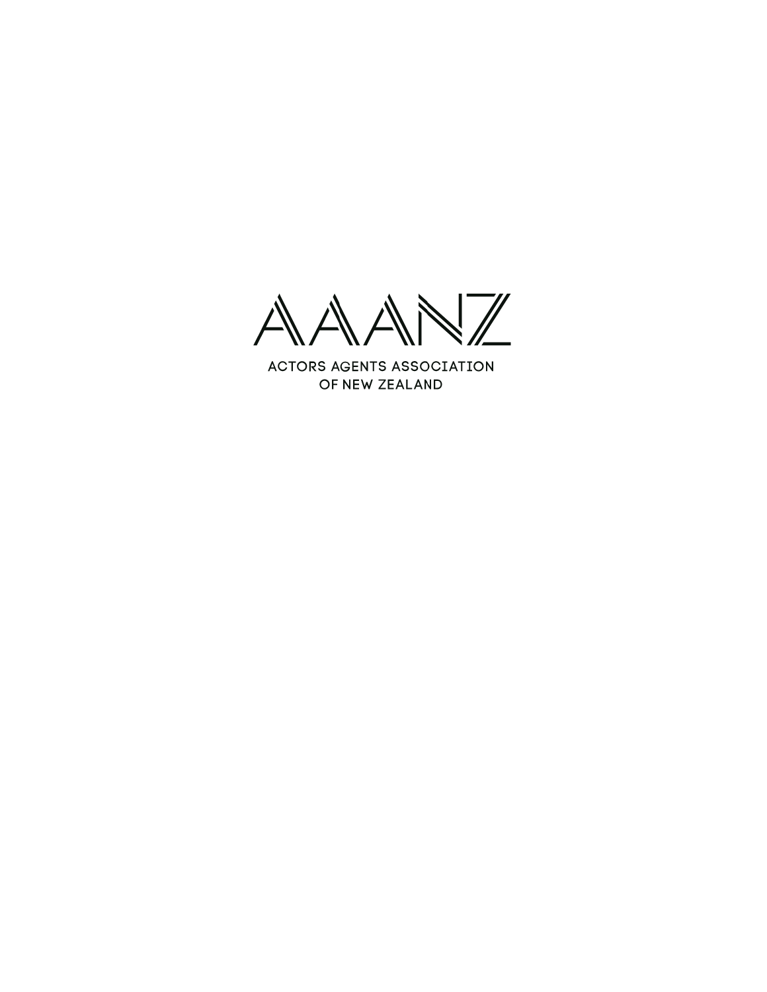$\overline{\mathcal{L}}$  $\sqrt{N}$ 

**ACTORS AGENTS ASSOCIATION** OF NEW ZEALAND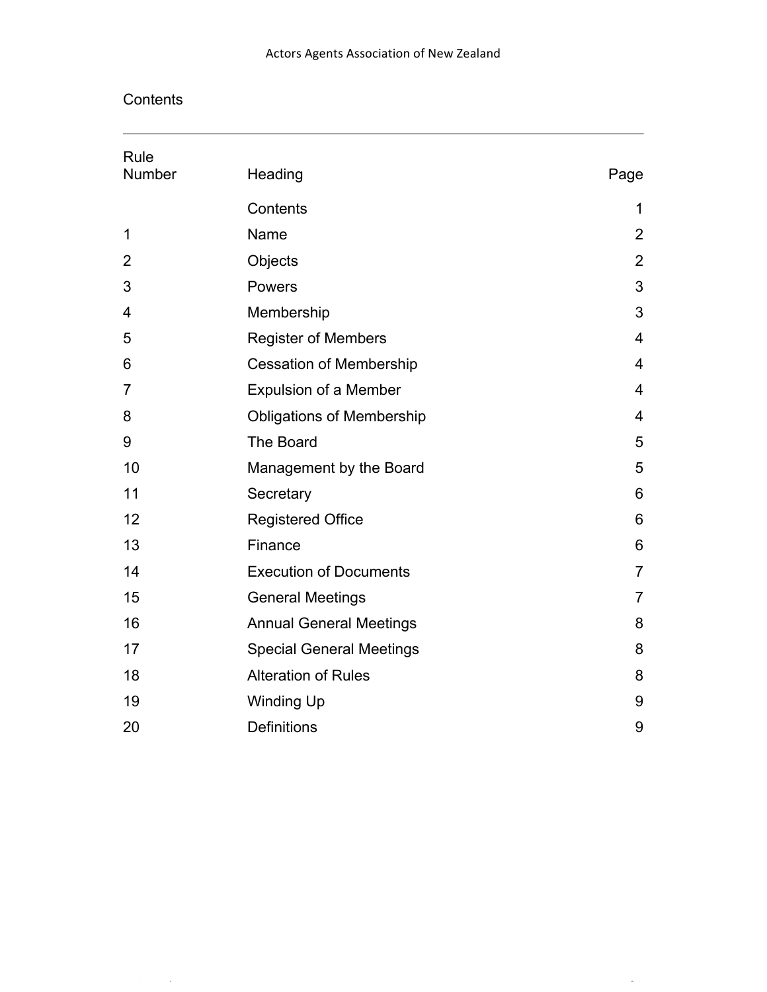**Contents** 

| Rule<br>Number | Heading                          | Page           |
|----------------|----------------------------------|----------------|
|                |                                  |                |
|                | Contents                         | 1              |
| 1              | Name                             | $\overline{2}$ |
| 2              | Objects                          | $\overline{2}$ |
| 3              | Powers                           | 3              |
| 4              | Membership                       | 3              |
| 5              | <b>Register of Members</b>       | 4              |
| 6              | <b>Cessation of Membership</b>   | 4              |
| 7              | <b>Expulsion of a Member</b>     | 4              |
| 8              | <b>Obligations of Membership</b> | 4              |
| 9              | The Board                        | 5              |
| 10             | Management by the Board          | 5              |
| 11             | Secretary                        | 6              |
| 12             | <b>Registered Office</b>         | 6              |
| 13             | Finance                          | 6              |
| 14             | <b>Execution of Documents</b>    | $\overline{7}$ |
| 15             | <b>General Meetings</b>          | $\overline{7}$ |
| 16             | <b>Annual General Meetings</b>   | 8              |
| 17             | <b>Special General Meetings</b>  | 8              |
| 18             | <b>Alteration of Rules</b>       | 8              |
| 19             | <b>Winding Up</b>                | 9              |
| 20             | <b>Definitions</b>               | 9              |

Rules Page **1** of **9**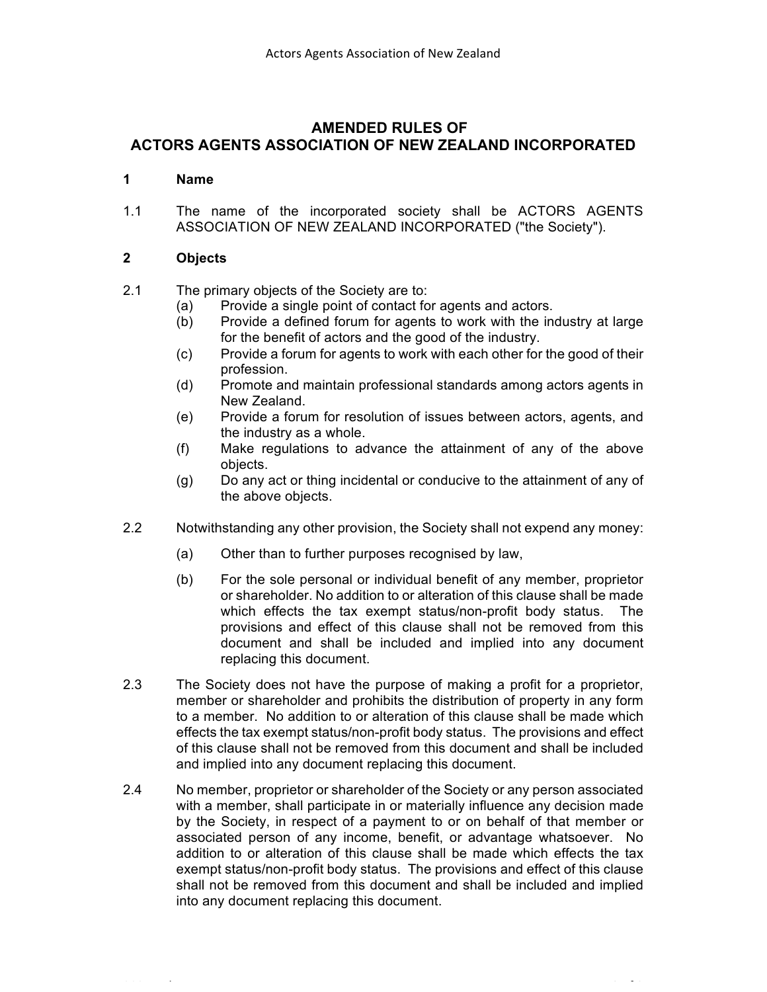# **AMENDED RULES OF ACTORS AGENTS ASSOCIATION OF NEW ZEALAND INCORPORATED**

#### **1 Name**

1.1 The name of the incorporated society shall be ACTORS AGENTS ASSOCIATION OF NEW ZEALAND INCORPORATED ("the Society").

## **2 Objects**

## 2.1 The primary objects of the Society are to:

- (a) Provide a single point of contact for agents and actors.
- (b) Provide a defined forum for agents to work with the industry at large for the benefit of actors and the good of the industry.
- (c) Provide a forum for agents to work with each other for the good of their profession.
- (d) Promote and maintain professional standards among actors agents in New Zealand.
- (e) Provide a forum for resolution of issues between actors, agents, and the industry as a whole.
- (f) Make regulations to advance the attainment of any of the above objects.
- (g) Do any act or thing incidental or conducive to the attainment of any of the above objects.
- 2.2 Notwithstanding any other provision, the Society shall not expend any money:
	- (a) Other than to further purposes recognised by law,
	- (b) For the sole personal or individual benefit of any member, proprietor or shareholder. No addition to or alteration of this clause shall be made which effects the tax exempt status/non-profit body status. The provisions and effect of this clause shall not be removed from this document and shall be included and implied into any document replacing this document.
- 2.3 The Society does not have the purpose of making a profit for a proprietor, member or shareholder and prohibits the distribution of property in any form to a member. No addition to or alteration of this clause shall be made which effects the tax exempt status/non-profit body status. The provisions and effect of this clause shall not be removed from this document and shall be included and implied into any document replacing this document.
- 2.4 No member, proprietor or shareholder of the Society or any person associated with a member, shall participate in or materially influence any decision made by the Society, in respect of a payment to or on behalf of that member or associated person of any income, benefit, or advantage whatsoever. No addition to or alteration of this clause shall be made which effects the tax exempt status/non-profit body status. The provisions and effect of this clause shall not be removed from this document and shall be included and implied into any document replacing this document.

2021 Rules Page **2** of **9**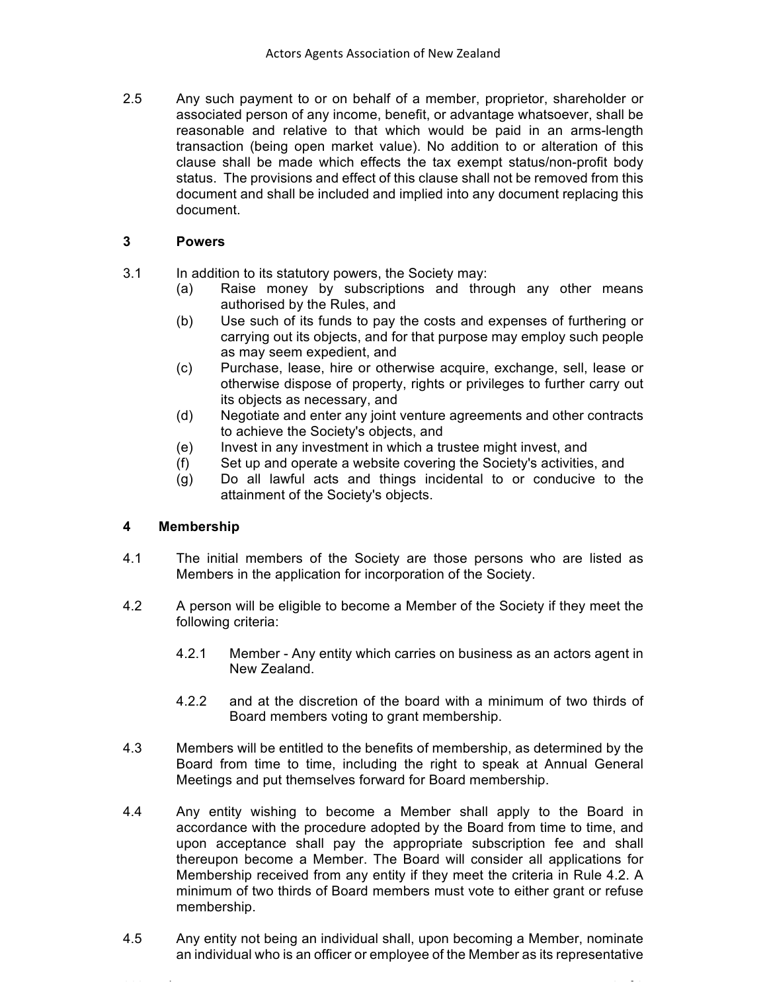2.5 Any such payment to or on behalf of a member, proprietor, shareholder or associated person of any income, benefit, or advantage whatsoever, shall be reasonable and relative to that which would be paid in an arms-length transaction (being open market value). No addition to or alteration of this clause shall be made which effects the tax exempt status/non-profit body status. The provisions and effect of this clause shall not be removed from this document and shall be included and implied into any document replacing this document.

## **3 Powers**

- 3.1 In addition to its statutory powers, the Society may:
	- (a) Raise money by subscriptions and through any other means authorised by the Rules, and
	- (b) Use such of its funds to pay the costs and expenses of furthering or carrying out its objects, and for that purpose may employ such people as may seem expedient, and
	- (c) Purchase, lease, hire or otherwise acquire, exchange, sell, lease or otherwise dispose of property, rights or privileges to further carry out its objects as necessary, and
	- (d) Negotiate and enter any joint venture agreements and other contracts to achieve the Society's objects, and
	- (e) Invest in any investment in which a trustee might invest, and
	- (f) Set up and operate a website covering the Society's activities, and
	- (g) Do all lawful acts and things incidental to or conducive to the attainment of the Society's objects.

## **4 Membership**

- 4.1 The initial members of the Society are those persons who are listed as Members in the application for incorporation of the Society.
- 4.2 A person will be eligible to become a Member of the Society if they meet the following criteria:
	- 4.2.1 Member Any entity which carries on business as an actors agent in New Zealand.
	- 4.2.2 and at the discretion of the board with a minimum of two thirds of Board members voting to grant membership.
- 4.3 Members will be entitled to the benefits of membership, as determined by the Board from time to time, including the right to speak at Annual General Meetings and put themselves forward for Board membership.
- 4.4 Any entity wishing to become a Member shall apply to the Board in accordance with the procedure adopted by the Board from time to time, and upon acceptance shall pay the appropriate subscription fee and shall thereupon become a Member. The Board will consider all applications for Membership received from any entity if they meet the criteria in Rule 4.2. A minimum of two thirds of Board members must vote to either grant or refuse membership.
- 4.5 Any entity not being an individual shall, upon becoming a Member, nominate an individual who is an officer or employee of the Member as its representative

2021 Rules Page **3** of **9**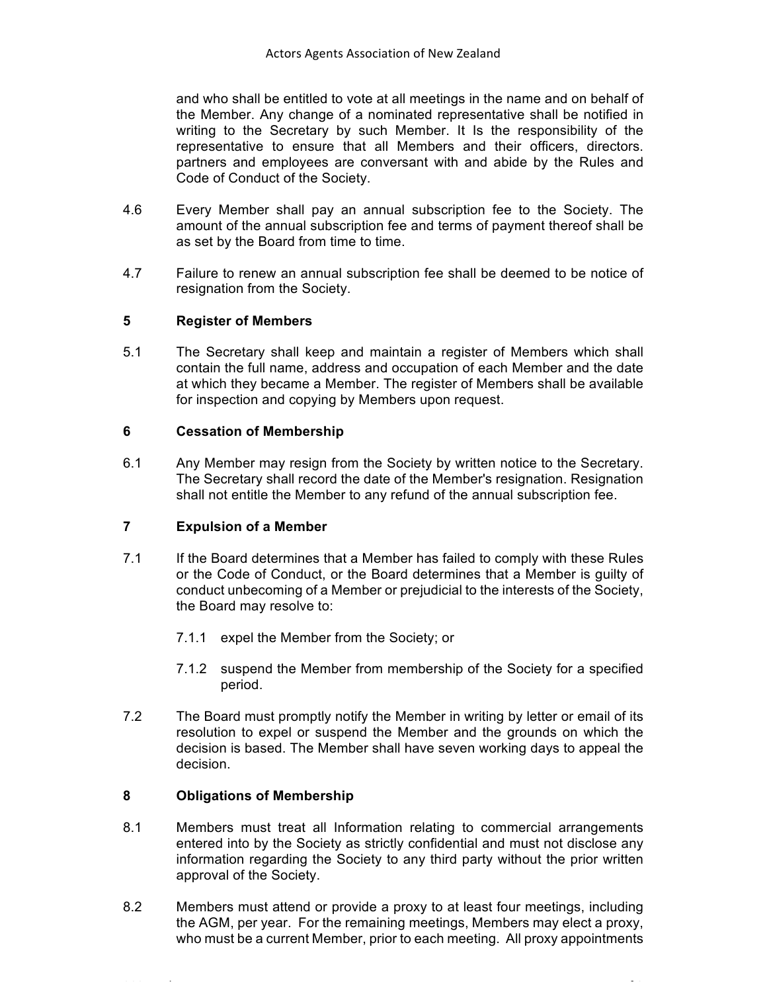and who shall be entitled to vote at all meetings in the name and on behalf of the Member. Any change of a nominated representative shall be notified in writing to the Secretary by such Member. It Is the responsibility of the representative to ensure that all Members and their officers, directors. partners and employees are conversant with and abide by the Rules and Code of Conduct of the Society.

- 4.6 Every Member shall pay an annual subscription fee to the Society. The amount of the annual subscription fee and terms of payment thereof shall be as set by the Board from time to time.
- 4.7 Failure to renew an annual subscription fee shall be deemed to be notice of resignation from the Society.

## **5 Register of Members**

5.1 The Secretary shall keep and maintain a register of Members which shall contain the full name, address and occupation of each Member and the date at which they became a Member. The register of Members shall be available for inspection and copying by Members upon request.

## **6 Cessation of Membership**

6.1 Any Member may resign from the Society by written notice to the Secretary. The Secretary shall record the date of the Member's resignation. Resignation shall not entitle the Member to any refund of the annual subscription fee.

## **7 Expulsion of a Member**

- 7.1 If the Board determines that a Member has failed to comply with these Rules or the Code of Conduct, or the Board determines that a Member is guilty of conduct unbecoming of a Member or prejudicial to the interests of the Society, the Board may resolve to:
	- 7.1.1 expel the Member from the Society; or
	- 7.1.2 suspend the Member from membership of the Society for a specified period.
- 7.2 The Board must promptly notify the Member in writing by letter or email of its resolution to expel or suspend the Member and the grounds on which the decision is based. The Member shall have seven working days to appeal the decision.

## **8 Obligations of Membership**

- 8.1 Members must treat all Information relating to commercial arrangements entered into by the Society as strictly confidential and must not disclose any information regarding the Society to any third party without the prior written approval of the Society.
- 8.2 Members must attend or provide a proxy to at least four meetings, including the AGM, per year. For the remaining meetings, Members may elect a proxy, who must be a current Member, prior to each meeting. All proxy appointments

2021 Rules Page **4** of **9**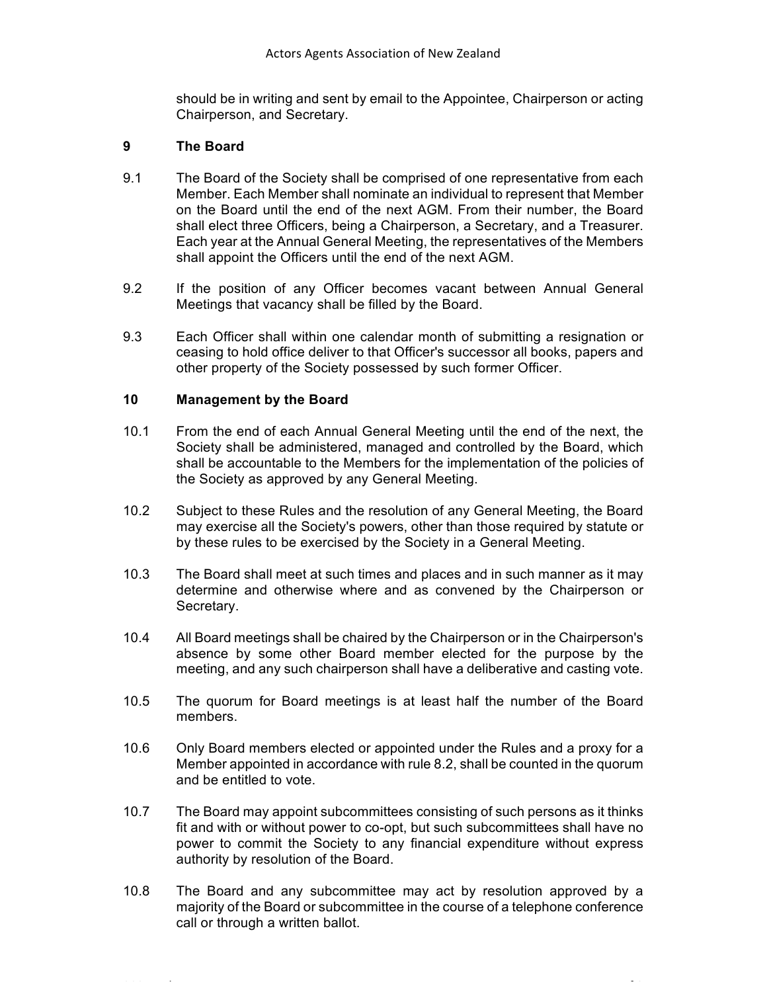should be in writing and sent by email to the Appointee, Chairperson or acting Chairperson, and Secretary.

#### **9 The Board**

- 9.1 The Board of the Society shall be comprised of one representative from each Member. Each Member shall nominate an individual to represent that Member on the Board until the end of the next AGM. From their number, the Board shall elect three Officers, being a Chairperson, a Secretary, and a Treasurer. Each year at the Annual General Meeting, the representatives of the Members shall appoint the Officers until the end of the next AGM.
- 9.2 If the position of any Officer becomes vacant between Annual General Meetings that vacancy shall be filled by the Board.
- 9.3 Each Officer shall within one calendar month of submitting a resignation or ceasing to hold office deliver to that Officer's successor all books, papers and other property of the Society possessed by such former Officer.

#### **10 Management by the Board**

- 10.1 From the end of each Annual General Meeting until the end of the next, the Society shall be administered, managed and controlled by the Board, which shall be accountable to the Members for the implementation of the policies of the Society as approved by any General Meeting.
- 10.2 Subject to these Rules and the resolution of any General Meeting, the Board may exercise all the Society's powers, other than those required by statute or by these rules to be exercised by the Society in a General Meeting.
- 10.3 The Board shall meet at such times and places and in such manner as it may determine and otherwise where and as convened by the Chairperson or Secretary.
- 10.4 All Board meetings shall be chaired by the Chairperson or in the Chairperson's absence by some other Board member elected for the purpose by the meeting, and any such chairperson shall have a deliberative and casting vote.
- 10.5 The quorum for Board meetings is at least half the number of the Board members.
- 10.6 Only Board members elected or appointed under the Rules and a proxy for a Member appointed in accordance with rule 8.2, shall be counted in the quorum and be entitled to vote.
- 10.7 The Board may appoint subcommittees consisting of such persons as it thinks fit and with or without power to co-opt, but such subcommittees shall have no power to commit the Society to any financial expenditure without express authority by resolution of the Board.
- 10.8 The Board and any subcommittee may act by resolution approved by a majority of the Board or subcommittee in the course of a telephone conference call or through a written ballot.

2021 Rules Page **5** of **9**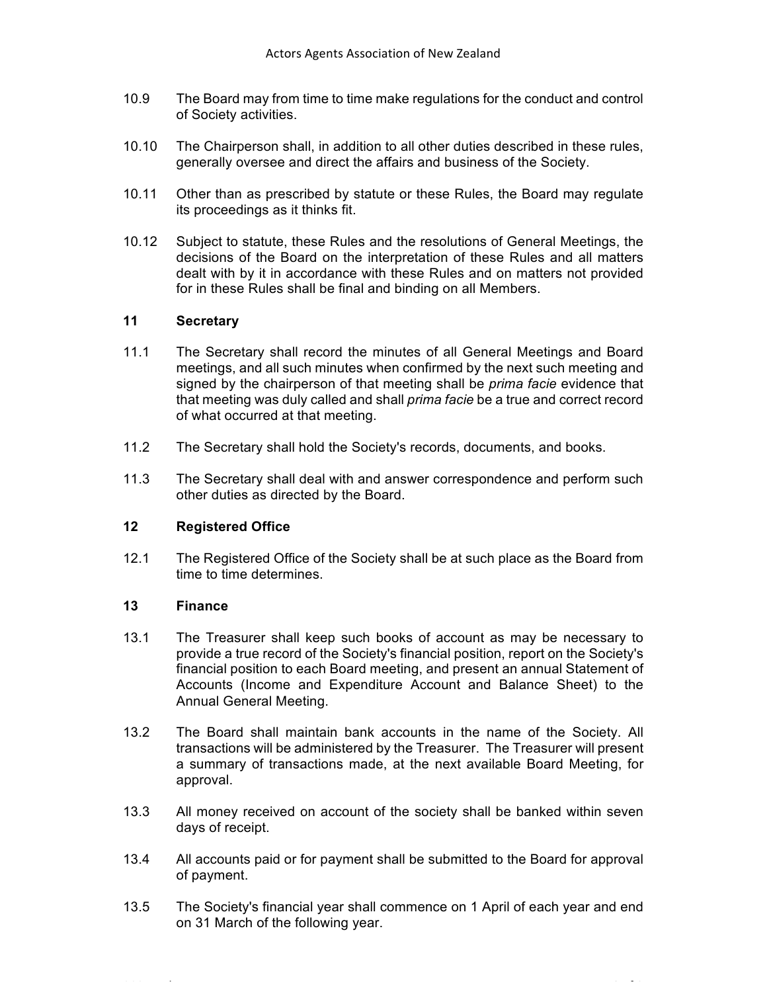- 10.9 The Board may from time to time make regulations for the conduct and control of Society activities.
- 10.10 The Chairperson shall, in addition to all other duties described in these rules, generally oversee and direct the affairs and business of the Society.
- 10.11 Other than as prescribed by statute or these Rules, the Board may regulate its proceedings as it thinks fit.
- 10.12 Subject to statute, these Rules and the resolutions of General Meetings, the decisions of the Board on the interpretation of these Rules and all matters dealt with by it in accordance with these Rules and on matters not provided for in these Rules shall be final and binding on all Members.

#### **11 Secretary**

- 11.1 The Secretary shall record the minutes of all General Meetings and Board meetings, and all such minutes when confirmed by the next such meeting and signed by the chairperson of that meeting shall be *prima facie* evidence that that meeting was duly called and shall *prima facie* be a true and correct record of what occurred at that meeting.
- 11.2 The Secretary shall hold the Society's records, documents, and books.
- 11.3 The Secretary shall deal with and answer correspondence and perform such other duties as directed by the Board.

## **12 Registered Office**

12.1 The Registered Office of the Society shall be at such place as the Board from time to time determines.

#### **13 Finance**

- 13.1 The Treasurer shall keep such books of account as may be necessary to provide a true record of the Society's financial position, report on the Society's financial position to each Board meeting, and present an annual Statement of Accounts (Income and Expenditure Account and Balance Sheet) to the Annual General Meeting.
- 13.2 The Board shall maintain bank accounts in the name of the Society. All transactions will be administered by the Treasurer. The Treasurer will present a summary of transactions made, at the next available Board Meeting, for approval.
- 13.3 All money received on account of the society shall be banked within seven days of receipt.
- 13.4 All accounts paid or for payment shall be submitted to the Board for approval of payment.
- 13.5 The Society's financial year shall commence on 1 April of each year and end on 31 March of the following year.

2021 Rules Page **6** of **9**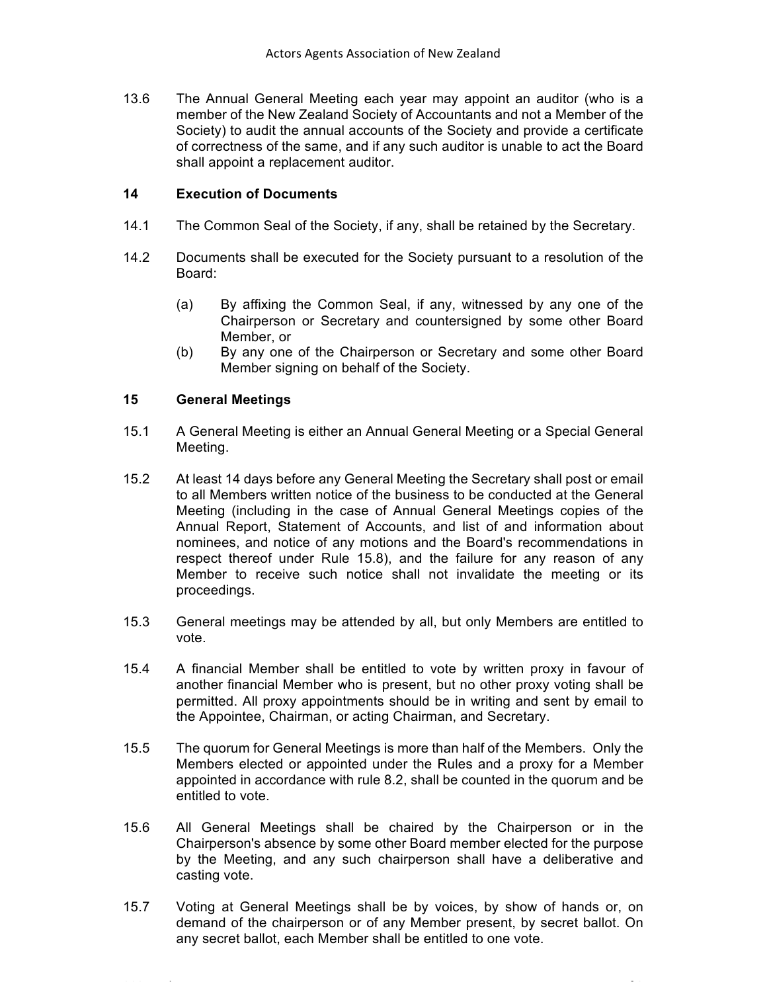13.6 The Annual General Meeting each year may appoint an auditor (who is a member of the New Zealand Society of Accountants and not a Member of the Society) to audit the annual accounts of the Society and provide a certificate of correctness of the same, and if any such auditor is unable to act the Board shall appoint a replacement auditor.

## **14 Execution of Documents**

- 14.1 The Common Seal of the Society, if any, shall be retained by the Secretary.
- 14.2 Documents shall be executed for the Society pursuant to a resolution of the Board:
	- (a) By affixing the Common Seal, if any, witnessed by any one of the Chairperson or Secretary and countersigned by some other Board Member, or
	- (b) By any one of the Chairperson or Secretary and some other Board Member signing on behalf of the Society.

#### **15 General Meetings**

- 15.1 A General Meeting is either an Annual General Meeting or a Special General Meeting.
- 15.2 At least 14 days before any General Meeting the Secretary shall post or email to all Members written notice of the business to be conducted at the General Meeting (including in the case of Annual General Meetings copies of the Annual Report, Statement of Accounts, and list of and information about nominees, and notice of any motions and the Board's recommendations in respect thereof under Rule 15.8), and the failure for any reason of any Member to receive such notice shall not invalidate the meeting or its proceedings.
- 15.3 General meetings may be attended by all, but only Members are entitled to vote.
- 15.4 A financial Member shall be entitled to vote by written proxy in favour of another financial Member who is present, but no other proxy voting shall be permitted. All proxy appointments should be in writing and sent by email to the Appointee, Chairman, or acting Chairman, and Secretary.
- 15.5 The quorum for General Meetings is more than half of the Members. Only the Members elected or appointed under the Rules and a proxy for a Member appointed in accordance with rule 8.2, shall be counted in the quorum and be entitled to vote.
- 15.6 All General Meetings shall be chaired by the Chairperson or in the Chairperson's absence by some other Board member elected for the purpose by the Meeting, and any such chairperson shall have a deliberative and casting vote.
- 15.7 Voting at General Meetings shall be by voices, by show of hands or, on demand of the chairperson or of any Member present, by secret ballot. On any secret ballot, each Member shall be entitled to one vote.

2021 Rules Page **7** of **9**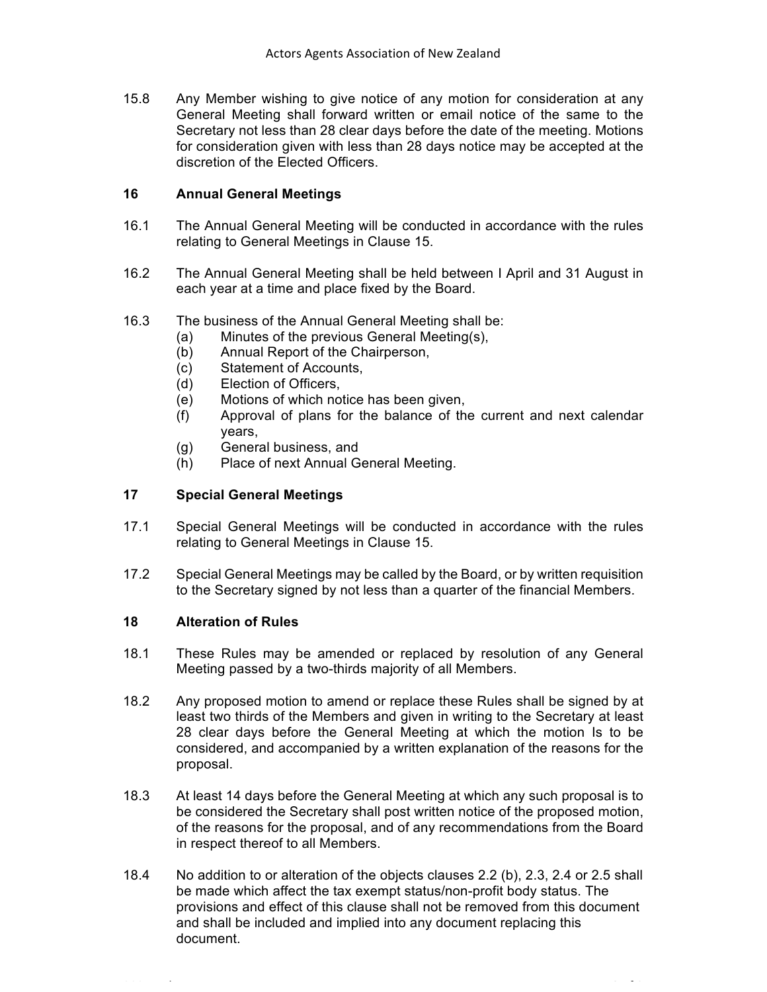15.8 Any Member wishing to give notice of any motion for consideration at any General Meeting shall forward written or email notice of the same to the Secretary not less than 28 clear days before the date of the meeting. Motions for consideration given with less than 28 days notice may be accepted at the discretion of the Elected Officers.

#### **16 Annual General Meetings**

- 16.1 The Annual General Meeting will be conducted in accordance with the rules relating to General Meetings in Clause 15.
- 16.2 The Annual General Meeting shall be held between I April and 31 August in each year at a time and place fixed by the Board.
- 16.3 The business of the Annual General Meeting shall be:
	- (a) Minutes of the previous General Meeting(s),
	- (b) Annual Report of the Chairperson,
	- (c) Statement of Accounts,
	- (d) Election of Officers,
	- (e) Motions of which notice has been given,
	- (f) Approval of plans for the balance of the current and next calendar years,
	- (g) General business, and
	- (h) Place of next Annual General Meeting.

## **17 Special General Meetings**

- 17.1 Special General Meetings will be conducted in accordance with the rules relating to General Meetings in Clause 15.
- 17.2 Special General Meetings may be called by the Board, or by written requisition to the Secretary signed by not less than a quarter of the financial Members.

#### **18 Alteration of Rules**

- 18.1 These Rules may be amended or replaced by resolution of any General Meeting passed by a two-thirds majority of all Members.
- 18.2 Any proposed motion to amend or replace these Rules shall be signed by at least two thirds of the Members and given in writing to the Secretary at least 28 clear days before the General Meeting at which the motion Is to be considered, and accompanied by a written explanation of the reasons for the proposal.
- 18.3 At least 14 days before the General Meeting at which any such proposal is to be considered the Secretary shall post written notice of the proposed motion, of the reasons for the proposal, and of any recommendations from the Board in respect thereof to all Members.
- 18.4 No addition to or alteration of the objects clauses 2.2 (b), 2.3, 2.4 or 2.5 shall be made which affect the tax exempt status/non-profit body status. The provisions and effect of this clause shall not be removed from this document and shall be included and implied into any document replacing this document.

2021 Rules Page **8** of **9**